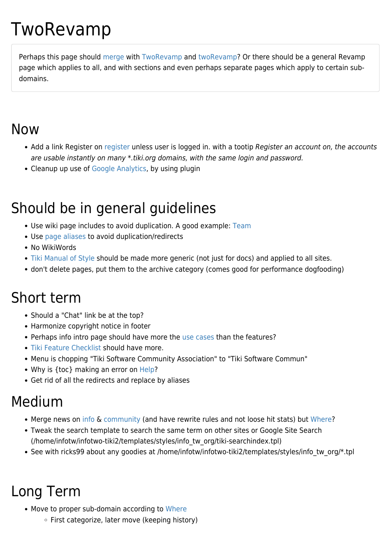# TwoRevamp

Perhaps this page should [merge](https://tiki.org/merge) with [TwoRevamp](http://dev.tiki.org/TwoRevamp) and [twoRevamp](https://tiki.org/TwoRevamp)? Or there should be a general Revamp page which applies to all, and with sections and even perhaps separate pages which apply to certain subdomains.

#### Now

- Add a link Register on [register](http://tikiwiki.org/tiki-register.php) unless user is logged in. with a tootip Register an account on, the accounts are usable instantly on many \*.tiki.org domains, with the same login and password.
- Cleanup up use of [Google Analytics,](http://doc.tiki.org/Google%20Analytics) by using plugin

### Should be in general guidelines

- Use wiki page includes to avoid duplication. A good example: [Team](https://tiki.org/Teams)
- Use [page aliases](http://doc.tiki.org/page%20aliases) to avoid duplication/redirects
- No WikiWords
- [Tiki Manual of Style](http://doc.tiki.org/Tiki%20Manual%20of%20Style) should be made more generic (not just for docs) and applied to all sites.
- don't delete pages, put them to the archive category (comes good for performance dogfooding)

#### Short term

- Should a "Chat" link be at the top?
- Harmonize copyright notice in footer
- Perhaps info intro page should have more the [use cases](https://tiki.org/Use-Cases) than the features?
- [Tiki Feature Checklist](http://info.tiki.org/Tiki%20Feature%20Checklist) should have more.
- Menu is chopping "Tiki Software Community Association" to "Tiki Software Commun"
- Why is {toc} making an error on [Help](https://tiki.org/Help)?
- Get rid of all the redirects and replace by aliases

#### Medium

- Merge news on [info](http://info.tiki.org/tiki-view_articles.php) & [community](http://tikiwiki.org/tiki-view_articles.php) (and have rewrite rules and not loose hit stats) but [Where](https://tiki.org/Where)?
- Tweak the search template to search the same term on other sites or Google Site Search (/home/infotw/infotwo-tiki2/templates/styles/info\_tw\_org/tiki-searchindex.tpl)
- See with ricks99 about any goodies at /home/infotw/infotwo-tiki2/templates/styles/info\_tw\_org/\*.tpl

## Long Term

- Move to proper sub-domain according to [Where](https://tiki.org/Where)
	- First categorize, later move (keeping history)